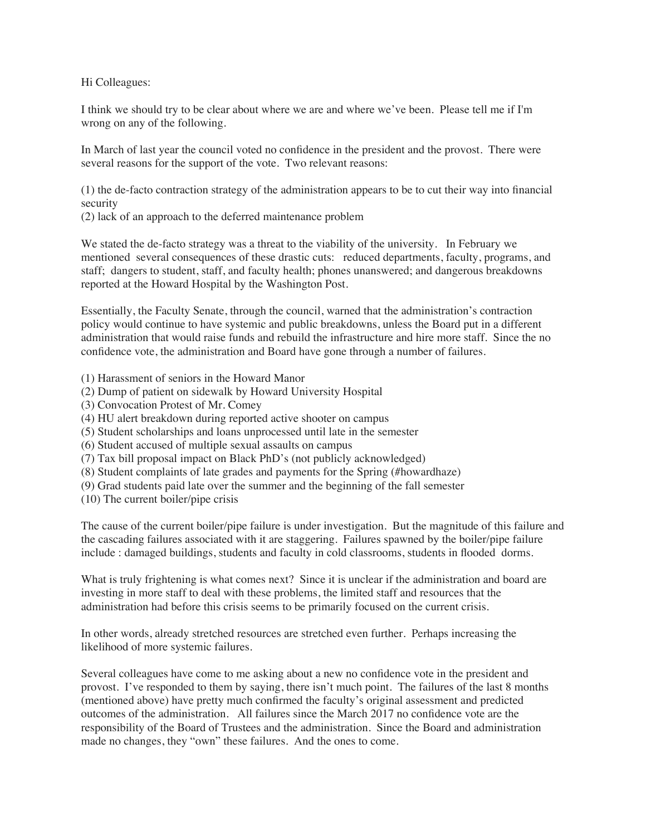Hi Colleagues:

I think we should try to be clear about where we are and where we've been. Please tell me if I'm wrong on any of the following.

In March of last year the council voted no confidence in the president and the provost. There were several reasons for the support of the vote. Two relevant reasons:

(1) the de-facto contraction strategy of the administration appears to be to cut their way into financial security

(2) lack of an approach to the deferred maintenance problem

We stated the de-facto strategy was a threat to the viability of the university. In February we mentioned several consequences of these drastic cuts: reduced departments, faculty, programs, and staff; dangers to student, staff, and faculty health; phones unanswered; and dangerous breakdowns reported at the Howard Hospital by the Washington Post.

Essentially, the Faculty Senate, through the council, warned that the administration's contraction policy would continue to have systemic and public breakdowns, unless the Board put in a different administration that would raise funds and rebuild the infrastructure and hire more staff. Since the no confidence vote, the administration and Board have gone through a number of failures.

- (1) Harassment of seniors in the Howard Manor
- (2) Dump of patient on sidewalk by Howard University Hospital
- (3) Convocation Protest of Mr. Comey
- (4) HU alert breakdown during reported active shooter on campus
- (5) Student scholarships and loans unprocessed until late in the semester
- (6) Student accused of multiple sexual assaults on campus
- (7) Tax bill proposal impact on Black PhD's (not publicly acknowledged)
- (8) Student complaints of late grades and payments for the Spring (#howardhaze)
- (9) Grad students paid late over the summer and the beginning of the fall semester
- (10) The current boiler/pipe crisis

The cause of the current boiler/pipe failure is under investigation. But the magnitude of this failure and the cascading failures associated with it are staggering. Failures spawned by the boiler/pipe failure include : damaged buildings, students and faculty in cold classrooms, students in flooded dorms.

What is truly frightening is what comes next? Since it is unclear if the administration and board are investing in more staff to deal with these problems, the limited staff and resources that the administration had before this crisis seems to be primarily focused on the current crisis.

In other words, already stretched resources are stretched even further. Perhaps increasing the likelihood of more systemic failures.

Several colleagues have come to me asking about a new no confidence vote in the president and provost. I've responded to them by saying, there isn't much point. The failures of the last 8 months (mentioned above) have pretty much confirmed the faculty's original assessment and predicted outcomes of the administration. All failures since the March 2017 no confidence vote are the responsibility of the Board of Trustees and the administration. Since the Board and administration made no changes, they "own" these failures. And the ones to come.